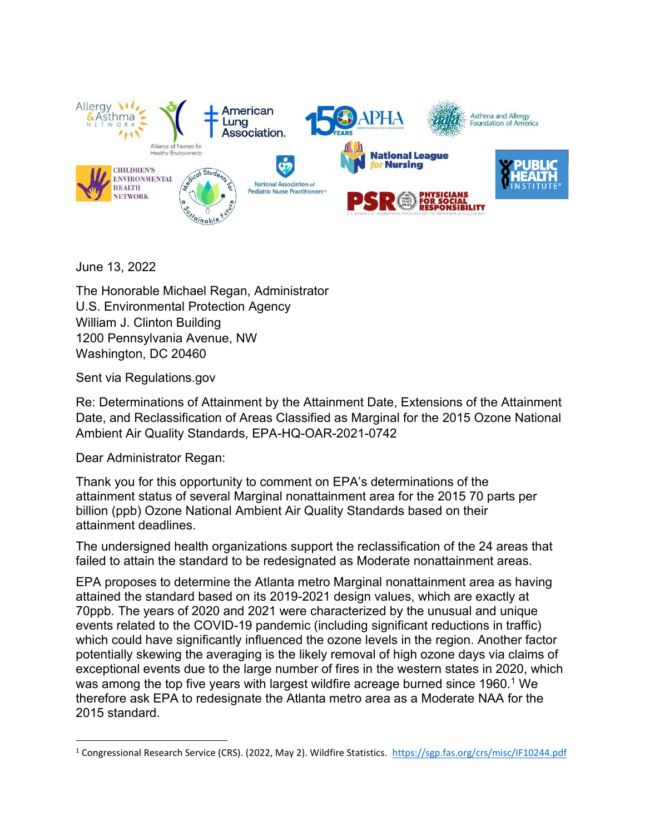

June 13, 2022

The Honorable Michael Regan, Administrator U.S. Environmental Protection Agency William J. Clinton Building 1200 Pennsylvania Avenue, NW Washington, DC 20460

Sent via Regulations.gov

Re: Determinations of Attainment by the Attainment Date, Extensions of the Attainment Date, and Reclassification of Areas Classified as Marginal for the 2015 Ozone National Ambient Air Quality Standards, EPA-HQ-OAR-2021-0742

Dear Administrator Regan:

Thank you for this opportunity to comment on EPA's determinations of the attainment status of several Marginal nonattainment area for the 2015 70 parts per billion (ppb) Ozone National Ambient Air Quality Standards based on their attainment deadlines.

The undersigned health organizations support the reclassification of the 24 areas that failed to attain the standard to be redesignated as Moderate nonattainment areas.

EPA proposes to determine the Atlanta metro Marginal nonattainment area as having attained the standard based on its 2019-2021 design values, which are exactly at 70ppb. The years of 2020 and 2021 were characterized by the unusual and unique events related to the COVID-19 pandemic (including significant reductions in traffic) which could have significantly influenced the ozone levels in the region. Another factor potentially skewing the averaging is the likely removal of high ozone days via claims of exceptional events due to the large number of fires in the western states in 2020, which was among the top five years with largest wildfire acreage burned since 1960.<sup>1</sup> We therefore ask EPA to redesignate the Atlanta metro area as a Moderate NAA for the 2015 standard.

<sup>1</sup> Congressional Research Service (CRS). (2022, May 2). Wildfire Statistics.<https://sgp.fas.org/crs/misc/IF10244.pdf>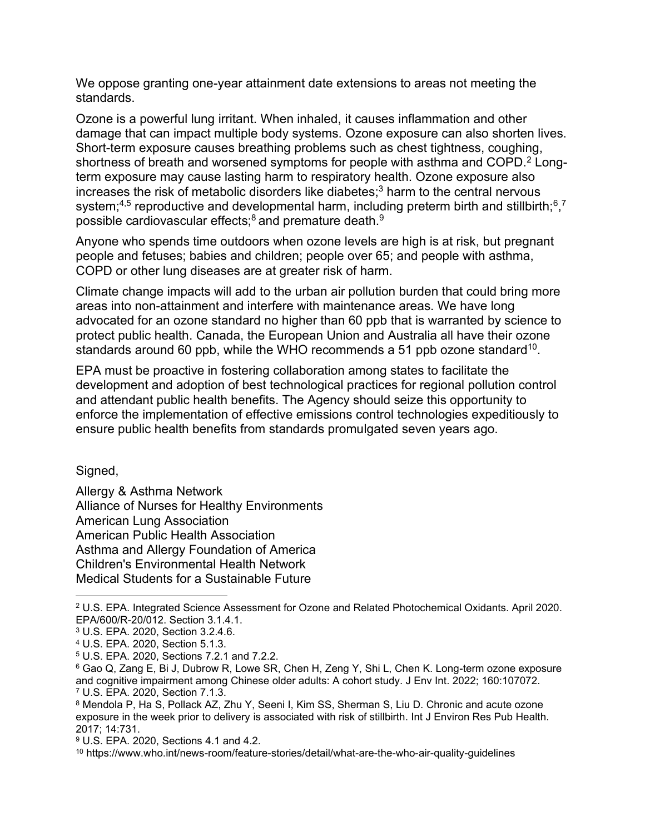We oppose granting one-year attainment date extensions to areas not meeting the standards.

Ozone is a powerful lung irritant. When inhaled, it causes inflammation and other damage that can impact multiple body systems. Ozone exposure can also shorten lives. Short-term exposure causes breathing problems such as chest tightness, coughing, shortness of breath and worsened symptoms for people with asthma and COPD.<sup>2</sup> Longterm exposure may cause lasting harm to respiratory health. Ozone exposure also increases the risk of metabolic disorders like diabetes; $3$  harm to the central nervous system;<sup>4,5</sup> reproductive and developmental harm, including preterm birth and stillbirth;<sup>6</sup>,<sup>7</sup> possible cardiovascular effects; $8$  and premature death. $9$ 

Anyone who spends time outdoors when ozone levels are high is at risk, but pregnant people and fetuses; babies and children; people over 65; and people with asthma, COPD or other lung diseases are at greater risk of harm.

Climate change impacts will add to the urban air pollution burden that could bring more areas into non-attainment and interfere with maintenance areas. We have long advocated for an ozone standard no higher than 60 ppb that is warranted by science to protect public health. Canada, the European Union and Australia all have their ozone standards around 60 ppb, while the WHO recommends a 51 ppb ozone standard<sup>10</sup>.

EPA must be proactive in fostering collaboration among states to facilitate the development and adoption of best technological practices for regional pollution control and attendant public health benefits. The Agency should seize this opportunity to enforce the implementation of effective emissions control technologies expeditiously to ensure public health benefits from standards promulgated seven years ago.

Signed,

Allergy & Asthma Network Alliance of Nurses for Healthy Environments American Lung Association American Public Health Association Asthma and Allergy Foundation of America Children's Environmental Health Network Medical Students for a Sustainable Future

<sup>2</sup> U.S. EPA. Integrated Science Assessment for Ozone and Related Photochemical Oxidants. April 2020. EPA/600/R-20/012. Section 3.1.4.1.

<sup>3</sup> U.S. EPA. 2020, Section 3.2.4.6.

<sup>4</sup> U.S. EPA. 2020, Section 5.1.3.

<sup>5</sup> U.S. EPA. 2020, Sections 7.2.1 and 7.2.2.

<sup>6</sup> Gao Q, Zang E, Bi J, Dubrow R, Lowe SR, Chen H, Zeng Y, Shi L, Chen K. Long-term ozone exposure and cognitive impairment among Chinese older adults: A cohort study. J Env Int. 2022; 160:107072. <sup>7</sup> U.S. EPA. 2020, Section 7.1.3.

<sup>8</sup> Mendola P, Ha S, Pollack AZ, Zhu Y, Seeni I, Kim SS, Sherman S, Liu D. Chronic and acute ozone exposure in the week prior to delivery is associated with risk of stillbirth. Int J Environ Res Pub Health. 2017; 14:731.

<sup>9</sup> U.S. EPA. 2020, Sections 4.1 and 4.2.

<sup>10</sup> https://www.who.int/news-room/feature-stories/detail/what-are-the-who-air-quality-guidelines